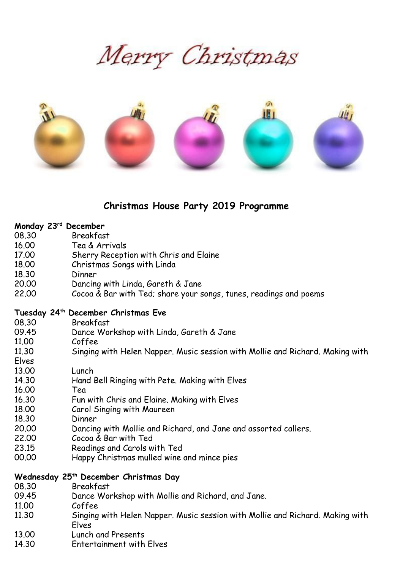Merry Christmas



# **Christmas House Party 2019 Programme**

#### **Monday 23rd December**

- 08.30 Breakfast
- 16.00 Tea & Arrivals
- 17.00 Sherry Reception with Chris and Elaine
- 18.00 Christmas Songs with Linda
- 18.30 Dinner
- 20.00 Dancing with Linda, Gareth & Jane
- 22.00 Cocoa & Bar with Ted; share your songs, tunes, readings and poems

#### **Tuesday 24th December Christmas Eve**

- 08.30 Breakfast
- 09.45 Dance Workshop with Linda, Gareth & Jane
- 11.00 Coffee
- 11.30 Singing with Helen Napper. Music session with Mollie and Richard. Making with
- Elves
- 13.00 Lunch
- 14.30 Hand Bell Ringing with Pete. Making with Elves
- 16.00 Tea
- 16.30 Fun with Chris and Elaine. Making with Elves
- 18.00 Carol Singing with Maureen
- 18.30 Dinner
- 20.00 Dancing with Mollie and Richard, and Jane and assorted callers.
- 22.00 Cocoa & Bar with Ted
- 23.15 Readings and Carols with Ted
- 00.00 Happy Christmas mulled wine and mince pies

#### **Wednesday 25th December Christmas Day**

- 08.30 Breakfast
- 09.45 Dance Workshop with Mollie and Richard, and Jane.
- 11.00 Coffee
- 11.30 Singing with Helen Napper. Music session with Mollie and Richard. Making with Elves
- 13.00 Lunch and Presents
- 14.30 Entertainment with Elves